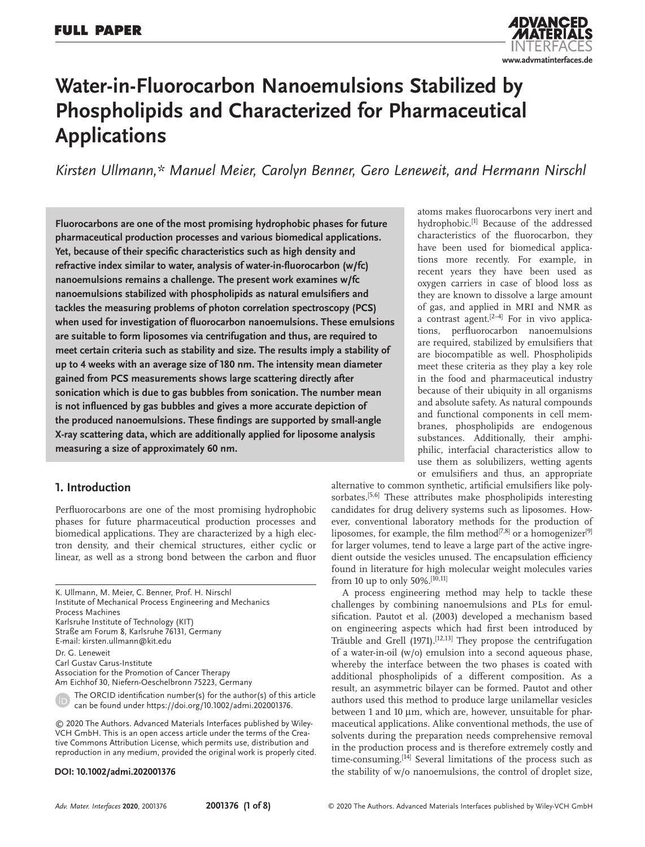

# **Water-in-Fluorocarbon Nanoemulsions Stabilized by Phospholipids and Characterized for Pharmaceutical Applications**

*Kirsten Ullmann,\* Manuel Meier, Carolyn Benner, Gero Leneweit, and Hermann Nirschl*

**Fluorocarbons are one of the most promising hydrophobic phases for future pharmaceutical production processes and various biomedical applications. Yet, because of their specific characteristics such as high density and refractive index similar to water, analysis of water-in-fluorocarbon (w/fc) nanoemulsions remains a challenge. The present work examines w/fc nanoemulsions stabilized with phospholipids as natural emulsifiers and tackles the measuring problems of photon correlation spectroscopy (PCS) when used for investigation of fluorocarbon nanoemulsions. These emulsions are suitable to form liposomes via centrifugation and thus, are required to meet certain criteria such as stability and size. The results imply a stability of up to 4 weeks with an average size of 180 nm. The intensity mean diameter gained from PCS measurements shows large scattering directly after sonication which is due to gas bubbles from sonication. The number mean is not influenced by gas bubbles and gives a more accurate depiction of the produced nanoemulsions. These findings are supported by small-angle X-ray scattering data, which are additionally applied for liposome analysis measuring a size of approximately 60 nm.**

# **1. Introduction**

Perfluorocarbons are one of the most promising hydrophobic phases for future pharmaceutical production processes and biomedical applications. They are characterized by a high electron density, and their chemical structures, either cyclic or linear, as well as a strong bond between the carbon and fluor

K. Ullmann, M. Meier, C. Benner, Prof. H. Nirschl Institute of Mechanical Process Engineering and Mechanics Process Machines Karlsruhe Institute of Technology (KIT) Straße am Forum 8, Karlsruhe 76131, Germany E-mail: kirsten.ullmann@kit.edu Dr. G. Leneweit Carl Gustav Carus-Institute Association for the Promotion of Cancer Therapy Am Eichhof 30, Niefern-Oeschelbronn 75223, Germany The ORCID identification number(s) for the author(s) of this article can be found under https://doi.org/10.1002/admi.202001376.

© 2020 The Authors. Advanced Materials Interfaces published by Wiley-VCH GmbH. This is an open access article under the terms of the Creative Commons Attribution License, which permits use, distribution and reproduction in any medium, provided the original work is properly cited.

### **DOI: 10.1002/admi.202001376**

atoms makes fluorocarbons very inert and hydrophobic.<sup>[1]</sup> Because of the addressed characteristics of the fluorocarbon, they have been used for biomedical applications more recently. For example, in recent years they have been used as oxygen carriers in case of blood loss as they are known to dissolve a large amount of gas, and applied in MRI and NMR as a contrast agent. $[2-4]$  For in vivo applications, perfluorocarbon nanoemulsions are required, stabilized by emulsifiers that are biocompatible as well. Phospholipids meet these criteria as they play a key role in the food and pharmaceutical industry because of their ubiquity in all organisms and absolute safety. As natural compounds and functional components in cell membranes, phospholipids are endogenous substances. Additionally, their amphiphilic, interfacial characteristics allow to use them as solubilizers, wetting agents or emulsifiers and thus, an appropriate

alternative to common synthetic, artificial emulsifiers like polysorbates.<sup>[5,6]</sup> These attributes make phospholipids interesting candidates for drug delivery systems such as liposomes. However, conventional laboratory methods for the production of liposomes, for example, the film method<sup>[7,8]</sup> or a homogenizer<sup>[9]</sup> for larger volumes, tend to leave a large part of the active ingredient outside the vesicles unused. The encapsulation efficiency found in literature for high molecular weight molecules varies from 10 up to only 50%.  $^{[1\widetilde{0},11]}$ 

A process engineering method may help to tackle these challenges by combining nanoemulsions and PLs for emulsification. Pautot et al. (2003) developed a mechanism based on engineering aspects which had first been introduced by Träuble and Grell (1971).<sup>[12,13]</sup> They propose the centrifugation of a water-in-oil (w/o) emulsion into a second aqueous phase, whereby the interface between the two phases is coated with additional phospholipids of a different composition. As a result, an asymmetric bilayer can be formed. Pautot and other authors used this method to produce large unilamellar vesicles between 1 and 10 µm, which are, however, unsuitable for pharmaceutical applications. Alike conventional methods, the use of solvents during the preparation needs comprehensive removal in the production process and is therefore extremely costly and time-consuming.<sup>[14]</sup> Several limitations of the process such as the stability of w/o nanoemulsions, the control of droplet size,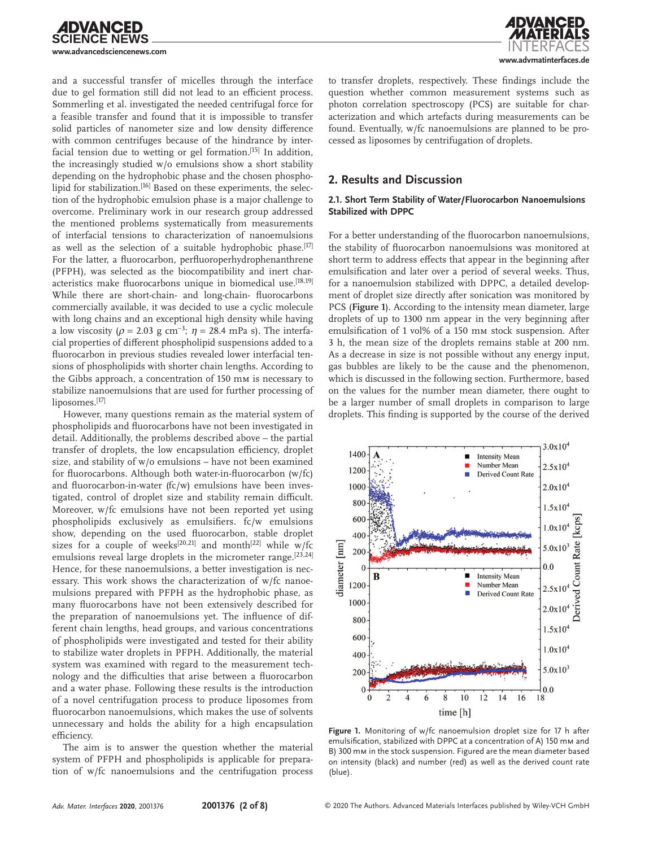

and a successful transfer of micelles through the interface due to gel formation still did not lead to an efficient process. Sommerling et al. investigated the needed centrifugal force for a feasible transfer and found that it is impossible to transfer solid particles of nanometer size and low density difference with common centrifuges because of the hindrance by interfacial tension due to wetting or gel formation.<sup>[15]</sup> In addition, the increasingly studied w/o emulsions show a short stability depending on the hydrophobic phase and the chosen phospholipid for stabilization.<sup>[16]</sup> Based on these experiments, the selection of the hydrophobic emulsion phase is a major challenge to overcome. Preliminary work in our research group addressed the mentioned problems systematically from measurements of interfacial tensions to characterization of nanoemulsions as well as the selection of a suitable hydrophobic phase.<sup>[17]</sup> For the latter, a fluorocarbon, perfluoroperhydrophenanthrene (PFPH), was selected as the biocompatibility and inert characteristics make fluorocarbons unique in biomedical use.<sup>[18,19]</sup> While there are short-chain- and long-chain- fluorocarbons commercially available, it was decided to use a cyclic molecule with long chains and an exceptional high density while having a low viscosity ( $\rho = 2.03$  g cm<sup>-3</sup>;  $\eta = 28.4$  mPa s). The interfacial properties of different phospholipid suspensions added to a fluorocarbon in previous studies revealed lower interfacial tensions of phospholipids with shorter chain lengths. According to the Gibbs approach, a concentration of 150 mm is necessary to stabilize nanoemulsions that are used for further processing of liposomes.[17]

However, many questions remain as the material system of phospholipids and fluorocarbons have not been investigated in detail. Additionally, the problems described above – the partial transfer of droplets, the low encapsulation efficiency, droplet size, and stability of w/o emulsions – have not been examined for fluorocarbons. Although both water-in-fluorocarbon (w/fc) and fluorocarbon-in-water (fc/w) emulsions have been investigated, control of droplet size and stability remain difficult. Moreover, w/fc emulsions have not been reported yet using phospholipids exclusively as emulsifiers. fc/w emulsions show, depending on the used fluorocarbon, stable droplet sizes for a couple of weeks<sup>[20,21]</sup> and month<sup>[22]</sup> while w/fc emulsions reveal large droplets in the micrometer range.<sup>[23,24]</sup> Hence, for these nanoemulsions, a better investigation is necessary. This work shows the characterization of w/fc nanoemulsions prepared with PFPH as the hydrophobic phase, as many fluorocarbons have not been extensively described for the preparation of nanoemulsions yet. The influence of different chain lengths, head groups, and various concentrations of phospholipids were investigated and tested for their ability to stabilize water droplets in PFPH. Additionally, the material system was examined with regard to the measurement technology and the difficulties that arise between a fluorocarbon and a water phase. Following these results is the introduction of a novel centrifugation process to produce liposomes from fluorocarbon nanoemulsions, which makes the use of solvents unnecessary and holds the ability for a high encapsulation efficiency.

The aim is to answer the question whether the material system of PFPH and phospholipids is applicable for preparation of w/fc nanoemulsions and the centrifugation process



to transfer droplets, respectively. These findings include the question whether common measurement systems such as photon correlation spectroscopy (PCS) are suitable for characterization and which artefacts during measurements can be found. Eventually, w/fc nanoemulsions are planned to be processed as liposomes by centrifugation of droplets.

# **2. Results and Discussion**

### **2.1. Short Term Stability of Water/Fluorocarbon Nanoemulsions Stabilized with DPPC**

For a better understanding of the fluorocarbon nanoemulsions, the stability of fluorocarbon nanoemulsions was monitored at short term to address effects that appear in the beginning after emulsification and later over a period of several weeks. Thus, for a nanoemulsion stabilized with DPPC, a detailed development of droplet size directly after sonication was monitored by PCS (**Figure 1**). According to the intensity mean diameter, large droplets of up to 1300 nm appear in the very beginning after emulsification of 1 vol% of a 150 mm stock suspension. After 3 h, the mean size of the droplets remains stable at 200 nm. As a decrease in size is not possible without any energy input, gas bubbles are likely to be the cause and the phenomenon, which is discussed in the following section. Furthermore, based on the values for the number mean diameter, there ought to be a larger number of small droplets in comparison to large droplets. This finding is supported by the course of the derived



**Figure 1.** Monitoring of w/fc nanoemulsion droplet size for 17 h after emulsification, stabilized with DPPC at a concentration of A) 150 mm and B) 300 mm in the stock suspension. Figured are the mean diameter based on intensity (black) and number (red) as well as the derived count rate (blue).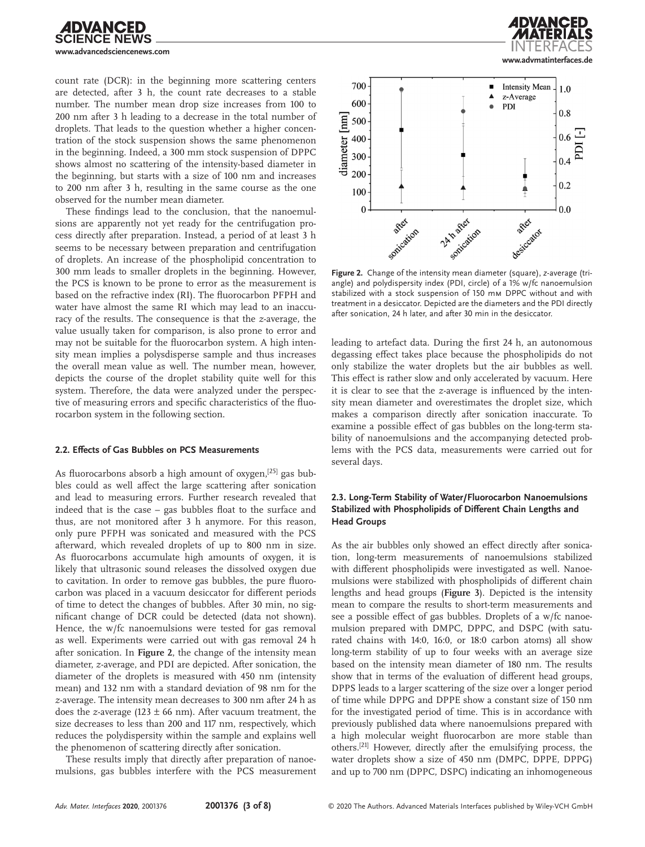

count rate (DCR): in the beginning more scattering centers are detected, after 3 h, the count rate decreases to a stable number. The number mean drop size increases from 100 to 200 nm after 3 h leading to a decrease in the total number of droplets. That leads to the question whether a higher concentration of the stock suspension shows the same phenomenon in the beginning. Indeed, a 300 mm stock suspension of DPPC shows almost no scattering of the intensity-based diameter in the beginning, but starts with a size of 100 nm and increases to 200 nm after 3 h, resulting in the same course as the one observed for the number mean diameter.

These findings lead to the conclusion, that the nanoemulsions are apparently not yet ready for the centrifugation process directly after preparation. Instead, a period of at least 3 h seems to be necessary between preparation and centrifugation of droplets. An increase of the phospholipid concentration to 300 mm leads to smaller droplets in the beginning. However, the PCS is known to be prone to error as the measurement is based on the refractive index (RI). The fluorocarbon PFPH and water have almost the same RI which may lead to an inaccuracy of the results. The consequence is that the *z*-average, the value usually taken for comparison, is also prone to error and may not be suitable for the fluorocarbon system. A high intensity mean implies a polysdisperse sample and thus increases the overall mean value as well. The number mean, however, depicts the course of the droplet stability quite well for this system. Therefore, the data were analyzed under the perspective of measuring errors and specific characteristics of the fluorocarbon system in the following section.

#### **2.2. Effects of Gas Bubbles on PCS Measurements**

As fluorocarbons absorb a high amount of oxygen,<sup>[25]</sup> gas bubbles could as well affect the large scattering after sonication and lead to measuring errors. Further research revealed that indeed that is the case – gas bubbles float to the surface and thus, are not monitored after 3 h anymore. For this reason, only pure PFPH was sonicated and measured with the PCS afterward, which revealed droplets of up to 800 nm in size. As fluorocarbons accumulate high amounts of oxygen, it is likely that ultrasonic sound releases the dissolved oxygen due to cavitation. In order to remove gas bubbles, the pure fluorocarbon was placed in a vacuum desiccator for different periods of time to detect the changes of bubbles. After 30 min, no significant change of DCR could be detected (data not shown). Hence, the w/fc nanoemulsions were tested for gas removal as well. Experiments were carried out with gas removal 24 h after sonication. In **Figure 2**, the change of the intensity mean diameter, *z*-average, and PDI are depicted. After sonication, the diameter of the droplets is measured with 450 nm (intensity mean) and 132 nm with a standard deviation of 98 nm for the *z*-average. The intensity mean decreases to 300 nm after 24 h as does the *z*-average (123  $\pm$  66 nm). After vacuum treatment, the size decreases to less than 200 and 117 nm, respectively, which reduces the polydispersity within the sample and explains well the phenomenon of scattering directly after sonication.

These results imply that directly after preparation of nanoemulsions, gas bubbles interfere with the PCS measurement





**Figure 2.** Change of the intensity mean diameter (square), *z*-average (triangle) and polydispersity index (PDI, circle) of a 1% w/fc nanoemulsion stabilized with a stock suspension of 150 mm DPPC without and with treatment in a desiccator. Depicted are the diameters and the PDI directly after sonication, 24 h later, and after 30 min in the desiccator.

leading to artefact data. During the first 24 h, an autonomous degassing effect takes place because the phospholipids do not only stabilize the water droplets but the air bubbles as well. This effect is rather slow and only accelerated by vacuum. Here it is clear to see that the *z*-average is influenced by the intensity mean diameter and overestimates the droplet size, which makes a comparison directly after sonication inaccurate. To examine a possible effect of gas bubbles on the long-term stability of nanoemulsions and the accompanying detected problems with the PCS data, measurements were carried out for several days.

## **2.3. Long-Term Stability of Water/Fluorocarbon Nanoemulsions Stabilized with Phospholipids of Different Chain Lengths and Head Groups**

As the air bubbles only showed an effect directly after sonication, long-term measurements of nanoemulsions stabilized with different phospholipids were investigated as well. Nanoemulsions were stabilized with phospholipids of different chain lengths and head groups (**Figure 3**). Depicted is the intensity mean to compare the results to short-term measurements and see a possible effect of gas bubbles. Droplets of a w/fc nanoemulsion prepared with DMPC, DPPC, and DSPC (with saturated chains with 14:0, 16:0, or 18:0 carbon atoms) all show long-term stability of up to four weeks with an average size based on the intensity mean diameter of 180 nm. The results show that in terms of the evaluation of different head groups, DPPS leads to a larger scattering of the size over a longer period of time while DPPG and DPPE show a constant size of 150 nm for the investigated period of time. This is in accordance with previously published data where nanoemulsions prepared with a high molecular weight fluorocarbon are more stable than others.[21] However, directly after the emulsifying process, the water droplets show a size of 450 nm (DMPC, DPPE, DPPG) and up to 700 nm (DPPC, DSPC) indicating an inhomogeneous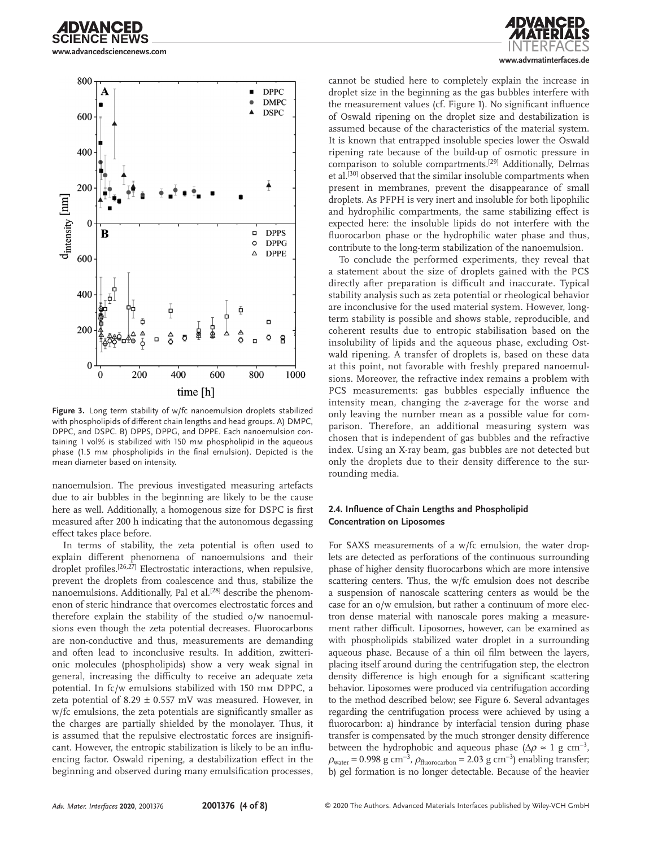

**www.advancedsciencenews.com**



time [h]

**Figure 3.** Long term stability of w/fc nanoemulsion droplets stabilized with phospholipids of different chain lengths and head groups. A) DMPC, DPPC, and DSPC. B) DPPS, DPPG, and DPPE. Each nanoemulsion containing 1 vol% is stabilized with 150 mm phospholipid in the aqueous phase (1.5 mm phospholipids in the final emulsion). Depicted is the mean diameter based on intensity.

nanoemulsion. The previous investigated measuring artefacts due to air bubbles in the beginning are likely to be the cause here as well. Additionally, a homogenous size for DSPC is first measured after 200 h indicating that the autonomous degassing effect takes place before.

In terms of stability, the zeta potential is often used to explain different phenomena of nanoemulsions and their droplet profiles.<sup>[26,27]</sup> Electrostatic interactions, when repulsive, prevent the droplets from coalescence and thus, stabilize the nanoemulsions. Additionally, Pal et al.<sup>[28]</sup> describe the phenomenon of steric hindrance that overcomes electrostatic forces and therefore explain the stability of the studied o/w nanoemulsions even though the zeta potential decreases. Fluorocarbons are non-conductive and thus, measurements are demanding and often lead to inconclusive results. In addition, zwitterionic molecules (phospholipids) show a very weak signal in general, increasing the difficulty to receive an adequate zeta potential. In fc/w emulsions stabilized with 150 mm DPPC, a zeta potential of  $8.29 \pm 0.557$  mV was measured. However, in w/fc emulsions, the zeta potentials are significantly smaller as the charges are partially shielded by the monolayer. Thus, it is assumed that the repulsive electrostatic forces are insignificant. However, the entropic stabilization is likely to be an influencing factor. Oswald ripening, a destabilization effect in the beginning and observed during many emulsification processes,

**www.advmatinterfaces.de**

cannot be studied here to completely explain the increase in droplet size in the beginning as the gas bubbles interfere with the measurement values (cf. Figure 1). No significant influence of Oswald ripening on the droplet size and destabilization is assumed because of the characteristics of the material system. It is known that entrapped insoluble species lower the Oswald ripening rate because of the build-up of osmotic pressure in comparison to soluble compartments.[29] Additionally, Delmas et al.<sup>[30]</sup> observed that the similar insoluble compartments when present in membranes, prevent the disappearance of small droplets. As PFPH is very inert and insoluble for both lipophilic and hydrophilic compartments, the same stabilizing effect is expected here: the insoluble lipids do not interfere with the fluorocarbon phase or the hydrophilic water phase and thus, contribute to the long-term stabilization of the nanoemulsion.

To conclude the performed experiments, they reveal that a statement about the size of droplets gained with the PCS directly after preparation is difficult and inaccurate. Typical stability analysis such as zeta potential or rheological behavior are inconclusive for the used material system. However, longterm stability is possible and shows stable, reproducible, and coherent results due to entropic stabilisation based on the insolubility of lipids and the aqueous phase, excluding Ostwald ripening. A transfer of droplets is, based on these data at this point, not favorable with freshly prepared nanoemulsions. Moreover, the refractive index remains a problem with PCS measurements: gas bubbles especially influence the intensity mean, changing the *z*-average for the worse and only leaving the number mean as a possible value for comparison. Therefore, an additional measuring system was chosen that is independent of gas bubbles and the refractive index. Using an X-ray beam, gas bubbles are not detected but only the droplets due to their density difference to the surrounding media.

### **2.4. Influence of Chain Lengths and Phospholipid Concentration on Liposomes**

For SAXS measurements of a w/fc emulsion, the water droplets are detected as perforations of the continuous surrounding phase of higher density fluorocarbons which are more intensive scattering centers. Thus, the w/fc emulsion does not describe a suspension of nanoscale scattering centers as would be the case for an o/w emulsion, but rather a continuum of more electron dense material with nanoscale pores making a measurement rather difficult. Liposomes, however, can be examined as with phospholipids stabilized water droplet in a surrounding aqueous phase. Because of a thin oil film between the layers, placing itself around during the centrifugation step, the electron density difference is high enough for a significant scattering behavior. Liposomes were produced via centrifugation according to the method described below; see Figure 6. Several advantages regarding the centrifugation process were achieved by using a fluorocarbon: a) hindrance by interfacial tension during phase transfer is compensated by the much stronger density difference between the hydrophobic and aqueous phase ( $\Delta \rho \approx 1 \text{ g cm}^{-3}$ ,  $\rho_{\text{water}} = 0.998 \text{ g cm}^{-3}$ ,  $\rho_{\text{fluorocarbon}} = 2.03 \text{ g cm}^{-3}$ ) enabling transfer; b) gel formation is no longer detectable. Because of the heavier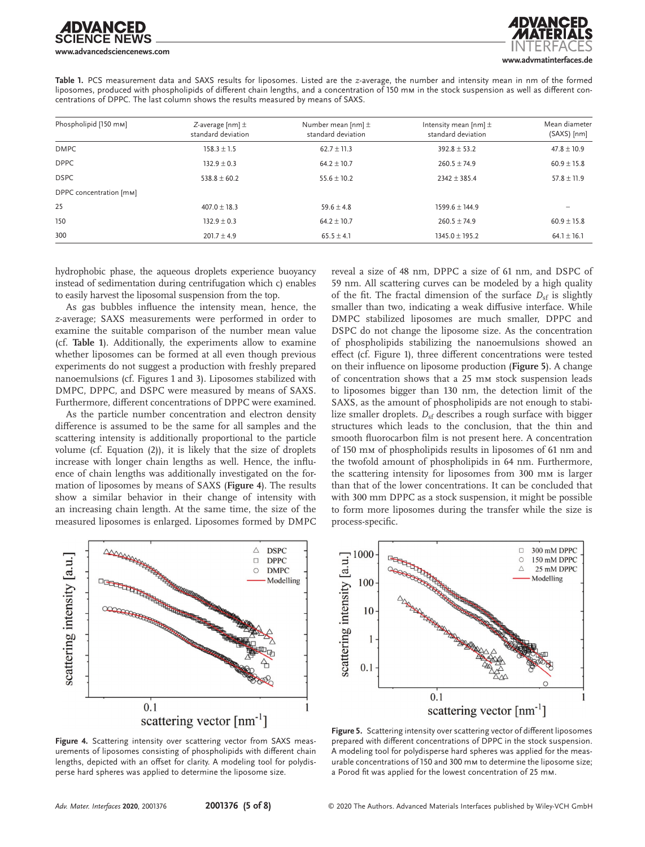# DVANCED **www.advancedsciencenews.com**

**www.advmatinterfaces.de**

**Table 1.** PCS measurement data and SAXS results for liposomes. Listed are the *z*-average, the number and intensity mean in nm of the formed liposomes, produced with phospholipids of different chain lengths, and a concentration of 150 mm in the stock suspension as well as different concentrations of DPPC. The last column shows the results measured by means of SAXS.

| Phospholipid [150 mm]   | Z-average [nm] $\pm$<br>standard deviation | Number mean $[nm]$ $\pm$<br>standard deviation | Intensity mean $[nm]$ $\pm$<br>standard deviation | Mean diameter<br>(SAXS) [nm] |
|-------------------------|--------------------------------------------|------------------------------------------------|---------------------------------------------------|------------------------------|
| <b>DMPC</b>             | $158.3 + 1.5$                              | $62.7 + 11.3$                                  | $392.8 \pm 53.2$                                  | $47.8 \pm 10.9$              |
| <b>DPPC</b>             | $132.9 \pm 0.3$                            | $64.2 \pm 10.7$                                | $260.5 \pm 74.9$                                  | $60.9 \pm 15.8$              |
| <b>DSPC</b>             | $538.8 + 60.2$                             | $55.6 + 10.2$                                  | $2342 + 385.4$                                    | $57.8 \pm 11.9$              |
| DPPC concentration [mm] |                                            |                                                |                                                   |                              |
| 25                      | $407.0 + 18.3$                             | $59.6 + 4.8$                                   | $1599.6 + 144.9$                                  |                              |
| 150                     | $132.9 + 0.3$                              | $64.2 \pm 10.7$                                | $260.5 \pm 74.9$                                  | $60.9 \pm 15.8$              |
| 300                     | $201.7 + 4.9$                              | $65.5 \pm 4.1$                                 | $1345.0 \pm 195.2$                                | $64.1 \pm 16.1$              |

hydrophobic phase, the aqueous droplets experience buoyancy instead of sedimentation during centrifugation which c) enables to easily harvest the liposomal suspension from the top.

As gas bubbles influence the intensity mean, hence, the *z*-average; SAXS measurements were performed in order to examine the suitable comparison of the number mean value (cf. **Table 1**). Additionally, the experiments allow to examine whether liposomes can be formed at all even though previous experiments do not suggest a production with freshly prepared nanoemulsions (cf. Figures 1 and 3). Liposomes stabilized with DMPC, DPPC, and DSPC were measured by means of SAXS. Furthermore, different concentrations of DPPC were examined.

As the particle number concentration and electron density difference is assumed to be the same for all samples and the scattering intensity is additionally proportional to the particle volume (cf. Equation (2)), it is likely that the size of droplets increase with longer chain lengths as well. Hence, the influence of chain lengths was additionally investigated on the formation of liposomes by means of SAXS (**Figure 4**). The results show a similar behavior in their change of intensity with an increasing chain length. At the same time, the size of the measured liposomes is enlarged. Liposomes formed by DMPC

reveal a size of 48 nm, DPPC a size of 61 nm, and DSPC of 59 nm. All scattering curves can be modeled by a high quality of the fit. The fractal dimension of the surface  $D_{sf}$  is slightly smaller than two, indicating a weak diffusive interface. While DMPC stabilized liposomes are much smaller, DPPC and DSPC do not change the liposome size. As the concentration of phospholipids stabilizing the nanoemulsions showed an effect (cf. Figure 1), three different concentrations were tested on their influence on liposome production (**Figure 5**). A change of concentration shows that a 25 mm stock suspension leads to liposomes bigger than 130 nm, the detection limit of the SAXS, as the amount of phospholipids are not enough to stabilize smaller droplets.  $D_{sf}$  describes a rough surface with bigger structures which leads to the conclusion, that the thin and smooth fluorocarbon film is not present here. A concentration of 150 mm of phospholipids results in liposomes of 61 nm and the twofold amount of phospholipids in 64 nm. Furthermore, the scattering intensity for liposomes from 300 mm is larger than that of the lower concentrations. It can be concluded that with 300 mm DPPC as a stock suspension, it might be possible to form more liposomes during the transfer while the size is process-specific.



**Figure 4.** Scattering intensity over scattering vector from SAXS measurements of liposomes consisting of phospholipids with different chain lengths, depicted with an offset for clarity. A modeling tool for polydisperse hard spheres was applied to determine the liposome size.



**Figure 5.** Scattering intensity over scattering vector of different liposomes prepared with different concentrations of DPPC in the stock suspension. A modeling tool for polydisperse hard spheres was applied for the measurable concentrations of 150 and 300 mm to determine the liposome size; a Porod fit was applied for the lowest concentration of 25 mm.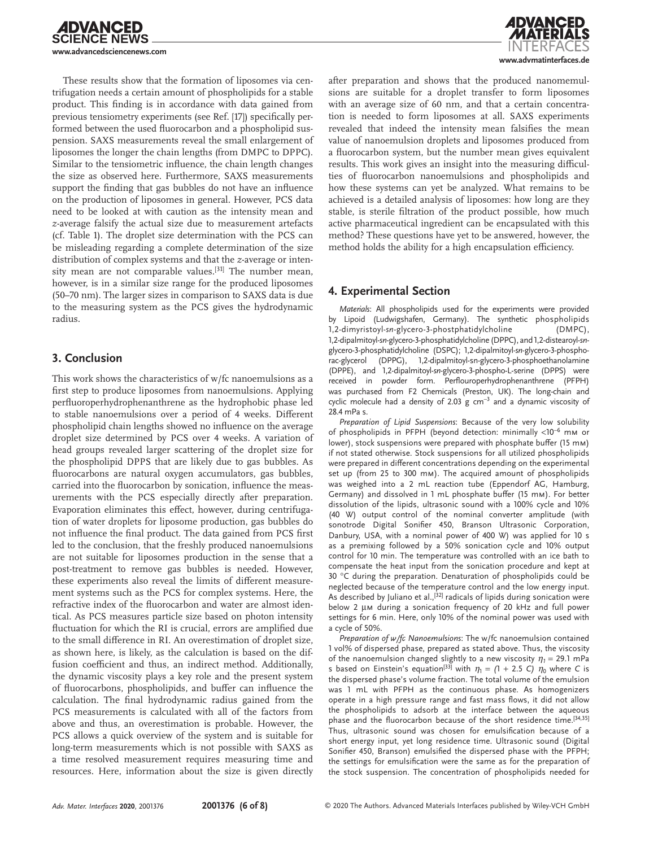

These results show that the formation of liposomes via centrifugation needs a certain amount of phospholipids for a stable product. This finding is in accordance with data gained from previous tensiometry experiments (see Ref. [17]) specifically performed between the used fluorocarbon and a phospholipid suspension. SAXS measurements reveal the small enlargement of liposomes the longer the chain lengths (from DMPC to DPPC). Similar to the tensiometric influence, the chain length changes the size as observed here. Furthermore, SAXS measurements support the finding that gas bubbles do not have an influence on the production of liposomes in general. However, PCS data need to be looked at with caution as the intensity mean and *z*-average falsify the actual size due to measurement artefacts (cf. Table 1). The droplet size determination with the PCS can be misleading regarding a complete determination of the size distribution of complex systems and that the *z*-average or intensity mean are not comparable values.<sup>[31]</sup> The number mean, however, is in a similar size range for the produced liposomes (50–70 nm). The larger sizes in comparison to SAXS data is due to the measuring system as the PCS gives the hydrodynamic radius.

# **3. Conclusion**

This work shows the characteristics of w/fc nanoemulsions as a first step to produce liposomes from nanoemulsions. Applying perfluoroperhydrophenanthrene as the hydrophobic phase led to stable nanoemulsions over a period of 4 weeks. Different phospholipid chain lengths showed no influence on the average droplet size determined by PCS over 4 weeks. A variation of head groups revealed larger scattering of the droplet size for the phospholipid DPPS that are likely due to gas bubbles. As fluorocarbons are natural oxygen accumulators, gas bubbles, carried into the fluorocarbon by sonication, influence the measurements with the PCS especially directly after preparation. Evaporation eliminates this effect, however, during centrifugation of water droplets for liposome production, gas bubbles do not influence the final product. The data gained from PCS first led to the conclusion, that the freshly produced nanoemulsions are not suitable for liposomes production in the sense that a post-treatment to remove gas bubbles is needed. However, these experiments also reveal the limits of different measurement systems such as the PCS for complex systems. Here, the refractive index of the fluorocarbon and water are almost identical. As PCS measures particle size based on photon intensity fluctuation for which the RI is crucial, errors are amplified due to the small difference in RI. An overestimation of droplet size, as shown here, is likely, as the calculation is based on the diffusion coefficient and thus, an indirect method. Additionally, the dynamic viscosity plays a key role and the present system of fluorocarbons, phospholipids, and buffer can influence the calculation. The final hydrodynamic radius gained from the PCS measurements is calculated with all of the factors from above and thus, an overestimation is probable. However, the PCS allows a quick overview of the system and is suitable for long-term measurements which is not possible with SAXS as a time resolved measurement requires measuring time and resources. Here, information about the size is given directly



after preparation and shows that the produced nanomemulsions are suitable for a droplet transfer to form liposomes with an average size of 60 nm, and that a certain concentration is needed to form liposomes at all. SAXS experiments revealed that indeed the intensity mean falsifies the mean value of nanoemulsion droplets and liposomes produced from a fluorocarbon system, but the number mean gives equivalent results. This work gives an insight into the measuring difficulties of fluorocarbon nanoemulsions and phospholipids and how these systems can yet be analyzed. What remains to be achieved is a detailed analysis of liposomes: how long are they stable, is sterile filtration of the product possible, how much active pharmaceutical ingredient can be encapsulated with this method? These questions have yet to be answered, however, the method holds the ability for a high encapsulation efficiency.

# **4. Experimental Section**

*Materials*: All phospholipids used for the experiments were provided by Lipoid (Ludwigshafen, Germany). The synthetic phospholipids 1,2-dimyristoyl-*sn*-glycero-3-phostphatidylcholine (DMPC), 1,2-dipalmitoyl-*sn*-glycero-3-phosphatidylcholine (DPPC), and 1,2-distearoyl-*sn*glycero-3-phosphatidylcholine (DSPC); 1,2-dipalmitoyl-*sn*-glycero-3-phosphorac-glycerol (DPPG), 1,2-dipalmitoyl-sn-glycero-3-phosphoethanolamine (DPPE), and 1,2-dipalmitoyl-*sn*-glycero-3-phospho-L-serine (DPPS) were received in powder form. Perflouroperhydrophenanthrene (PFPH) was purchased from F2 Chemicals (Preston, UK). The long-chain and cyclic molecule had a density of 2.03  $g \text{ cm}^{-3}$  and a dynamic viscosity of 28.4 mPa s.

*Preparation of Lipid Suspensions*: Because of the very low solubility of phospholipids in PFPH (beyond detection: minimally <10<sup>−</sup>6 mm or lower), stock suspensions were prepared with phosphate buffer (15 mm) if not stated otherwise. Stock suspensions for all utilized phospholipids were prepared in different concentrations depending on the experimental set up (from 25 to 300 mm). The acquired amount of phospholipids was weighed into a 2 mL reaction tube (Eppendorf AG, Hamburg, Germany) and dissolved in 1 mL phosphate buffer (15 mm). For better dissolution of the lipids, ultrasonic sound with a 100% cycle and 10% (40 W) output control of the nominal converter amplitude (with sonotrode Digital Sonifier 450, Branson Ultrasonic Corporation, Danbury, USA, with a nominal power of 400 W) was applied for 10 s as a premixing followed by a 50% sonication cycle and 10% output control for 10 min. The temperature was controlled with an ice bath to compensate the heat input from the sonication procedure and kept at 30 °C during the preparation. Denaturation of phospholipids could be neglected because of the temperature control and the low energy input. As described by Juliano et al.,<sup>[32]</sup> radicals of lipids during sonication were below 2  $\mu$ m during a sonication frequency of 20 kHz and full power settings for 6 min. Here, only 10% of the nominal power was used with a cycle of 50%.

*Preparation of w/fc Nanoemulsions*: The w/fc nanoemulsion contained 1 vol% of dispersed phase, prepared as stated above. Thus, the viscosity of the nanoemulsion changed slightly to a new viscosity  $\eta_1 = 29.1$  mPa s based on Einstein's equation<sup>[33]</sup> with  $\eta_1 = (1 + 2.5 \text{ C}) \eta_0$  where *C* is the dispersed phase's volume fraction. The total volume of the emulsion was 1 mL with PFPH as the continuous phase. As homogenizers operate in a high pressure range and fast mass flows, it did not allow the phospholipids to adsorb at the interface between the aqueous phase and the fluorocarbon because of the short residence time.[34,35] Thus, ultrasonic sound was chosen for emulsification because of a short energy input, yet long residence time. Ultrasonic sound (Digital Sonifier 450, Branson) emulsified the dispersed phase with the PFPH; the settings for emulsification were the same as for the preparation of the stock suspension. The concentration of phospholipids needed for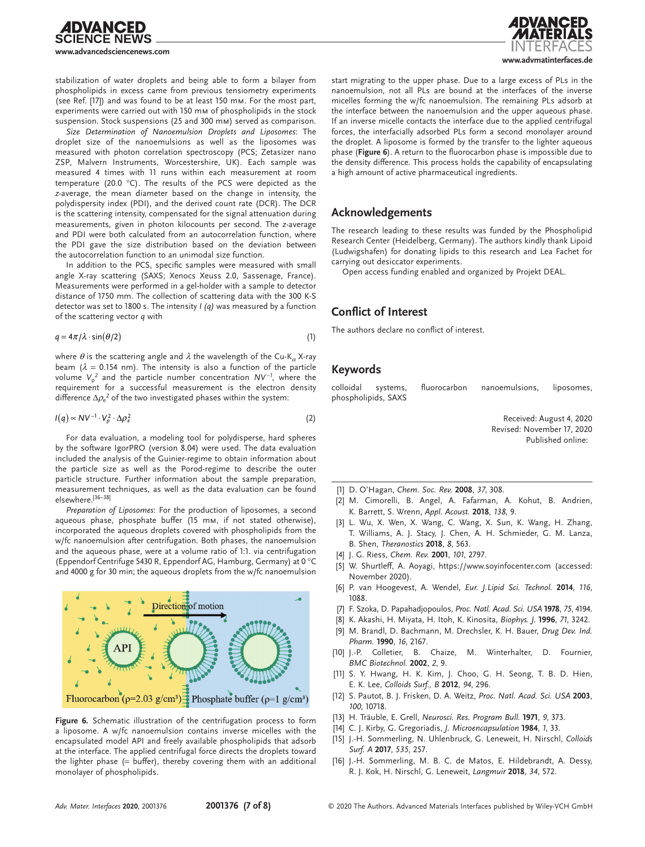



stabilization of water droplets and being able to form a bilayer from phospholipids in excess came from previous tensiometry experiments (see Ref. [17]) and was found to be at least 150 mm. For the most part, experiments were carried out with 150 mm of phospholipids in the stock suspension. Stock suspensions (25 and 300 mm) served as comparison.

*Size Determination of Nanoemulsion Droplets and Liposomes*: The droplet size of the nanoemulsions as well as the liposomes was measured with photon correlation spectroscopy (PCS; Zetasizer nano ZSP, Malvern Instruments, Worcestershire, UK). Each sample was measured 4 times with 11 runs within each measurement at room temperature (20.0 °C). The results of the PCS were depicted as the *z*-average, the mean diameter based on the change in intensity, the polydispersity index (PDI), and the derived count rate (DCR). The DCR is the scattering intensity, compensated for the signal attenuation during measurements, given in photon kilocounts per second. The *z*-average and PDI were both calculated from an autocorrelation function, where the PDI gave the size distribution based on the deviation between the autocorrelation function to an unimodal size function.

In addition to the PCS, specific samples were measured with small angle X-ray scattering (SAXS; Xenocs Xeuss 2.0, Sassenage, France). Measurements were performed in a gel-holder with a sample to detector distance of 1750 mm. The collection of scattering data with the 300 K-S detector was set to 1800 s. The intensity *I (q)* was measured by a function of the scattering vector *q* with

$$
q = 4\pi/\lambda \cdot \sin(\theta/2) \tag{1}
$$

where *θ* is the scattering angle and *λ* the wavelength of the Cu-K*α* X-ray beam ( $\lambda$  = 0.154 nm). The intensity is also a function of the particle volume *V*<sup>p</sup> *2* and the particle number concentration *NV* <sup>−</sup>*<sup>1</sup>* , where the requirement for a successful measurement is the electron density difference  $\Delta\rho_{\rm e}^2$  of the two investigated phases within the system:

$$
I(q) \propto NV^{-1} \cdot V_p^2 \cdot \Delta \rho_e^2 \tag{2}
$$

For data evaluation, a modeling tool for polydisperse, hard spheres by the software IgorPRO (version 8.04) were used. The data evaluation included the analysis of the Guinier-regime to obtain information about the particle size as well as the Porod-regime to describe the outer particle structure. Further information about the sample preparation, measurement techniques, as well as the data evaluation can be found elsewhere.[36–38]

*Preparation of Liposomes*: For the production of liposomes, a second aqueous phase, phosphate buffer (15 mm, if not stated otherwise), incorporated the aqueous droplets covered with phospholipids from the w/fc nanoemulsion after centrifugation. Both phases, the nanoemulsion and the aqueous phase, were at a volume ratio of 1:1. via centrifugation (Eppendorf Centrifuge 5430 R, Eppendorf AG, Hamburg, Germany) at 0 °C and 4000 g for 30 min; the aqueous droplets from the w/fc nanoemulsion



**Figure 6.** Schematic illustration of the centrifugation process to form a liposome. A w/fc nanoemulsion contains inverse micelles with the encapsulated model API and freely available phospholipids that adsorb at the interface. The applied centrifugal force directs the droplets toward the lighter phase  $(=$  buffer), thereby covering them with an additional monolayer of phospholipids.

start migrating to the upper phase. Due to a large excess of PLs in the nanoemulsion, not all PLs are bound at the interfaces of the inverse micelles forming the w/fc nanoemulsion. The remaining PLs adsorb at the interface between the nanoemulsion and the upper aqueous phase. If an inverse micelle contacts the interface due to the applied centrifugal forces, the interfacially adsorbed PLs form a second monolayer around the droplet. A liposome is formed by the transfer to the lighter aqueous phase (**Figure 6**). A return to the fluorocarbon phase is impossible due to the density difference. This process holds the capability of encapsulating a high amount of active pharmaceutical ingredients.

### **Acknowledgements**

The research leading to these results was funded by the Phospholipid Research Center (Heidelberg, Germany). The authors kindly thank Lipoid (Ludwigshafen) for donating lipids to this research and Lea Fachet for carrying out desiccator experiments.

Open access funding enabled and organized by Projekt DEAL.

### **Conflict of Interest**

The authors declare no conflict of interest.

### **Keywords**

colloidal systems, fluorocarbon nanoemulsions, liposomes, phospholipids, SAXS

> Received: August 4, 2020 Revised: November 17, 2020 Published online:

- [1] D. O'Hagan, *Chem. Soc. Rev.* **2008**, *37*, 308.
- [2] M. Cimorelli, B. Angel, A. Fafarman, A. Kohut, B. Andrien, K. Barrett, S. Wrenn, *Appl. Acoust.* **2018**, *138*, 9.
- [3] L. Wu, X. Wen, X. Wang, C. Wang, X. Sun, K. Wang, H. Zhang, T. Williams, A. J. Stacy, J. Chen, A. H. Schmieder, G. M. Lanza, B. Shen, *Theranostics* **2018**, *8*, 563.
- [4] J. G. Riess, *Chem. Rev.* **2001**, *101*, 2797.
- [5] W. Shurtleff, A. Aoyagi, https://[www.soyinfocenter.com](https://www.soyinfocenter.com) (accessed: November 2020).
- [6] P. van Hoogevest, A. Wendel, *Eur. J.Lipid Sci. Technol.* **2014**, *116*, 1088.
- [7] F. Szoka, D. Papahadjopoulos, *Proc. Natl. Acad. Sci. USA* **1978**, *75*, 4194.
- [8] K. Akashi, H. Miyata, H. Itoh, K. Kinosita, *Biophys. J.* **1996**, *71*, 3242.
- [9] M. Brandl, D. Bachmann, M. Drechsler, K. H. Bauer, *Drug Dev. Ind. Pharm.* **1990**, *16*, 2167.
- [10] J.-P. Colletier, B. Chaize, M. Winterhalter, D. Fournier, *BMC Biotechnol.* **2002**, *2*, 9.
- [11] S. Y. Hwang, H. K. Kim, J. Choo, G. H. Seong, T. B. D. Hien, E. K. Lee, *Colloids Surf., B* **2012**, *94*, 296.
- [12] S. Pautot, B. J. Frisken, D. A. Weitz, *Proc. Natl. Acad. Sci. USA* **2003**, *100*, 10718.
- [13] H. Träuble, E. Grell, *Neurosci. Res. Program Bull.* **1971**, *9*, 373.
- [14] C. J. Kirby, G. Gregoriadis, *J. Microencapsulation* **1984**, *1*, 33.
- [15] J.-H. Sommerling, N. Uhlenbruck, G. Leneweit, H. Nirschl, *Colloids Surf. A* **2017**, *535*, 257.
- [16] J.-H. Sommerling, M. B. C. de Matos, E. Hildebrandt, A. Dessy, R. J. Kok, H. Nirschl, G. Leneweit, *Langmuir* **2018**, *34*, 572.